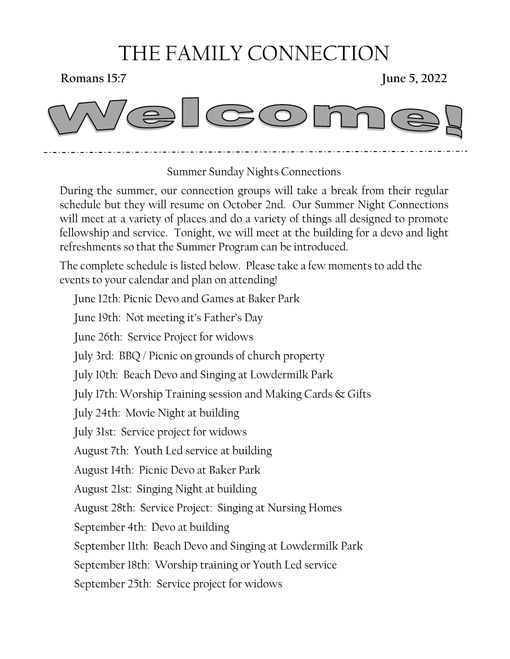## THE FAMILY CONNECTION

**Romans 15:7** June 5, 2022



#### Summer Sunday Nights Connections

During the summer, our connection groups will take a break from their regular schedule but they will resume on October 2nd. Our Summer Night Connections will meet at a variety of places and do a variety of things all designed to promote fellowship and service. Tonight, we will meet at the building for a devo and light refreshments so that the Summer Program can be introduced.

The complete schedule is listed below. Please take a few moments to add the events to your calendar and plan on attending!

June 12th: Picnic Devo and Games at Baker Park June 19th: Not meeting it's Father's Day June 26th: Service Project for widows July 3rd: BBQ / Picnic on grounds of church property July 10th: Beach Devo and Singing at Lowdermilk Park July 17th: Worship Training session and Making Cards & Gifts July 24th: Movie Night at building July 31st: Service project for widows August 7th: Youth Led service at building August 14th: Picnic Devo at Baker Park August 21st: Singing Night at building August 28th: Service Project: Singing at Nursing Homes September 4th: Devo at building September 11th: Beach Devo and Singing at Lowdermilk Park September 18th: Worship training or Youth Led service September 25th: Service project for widows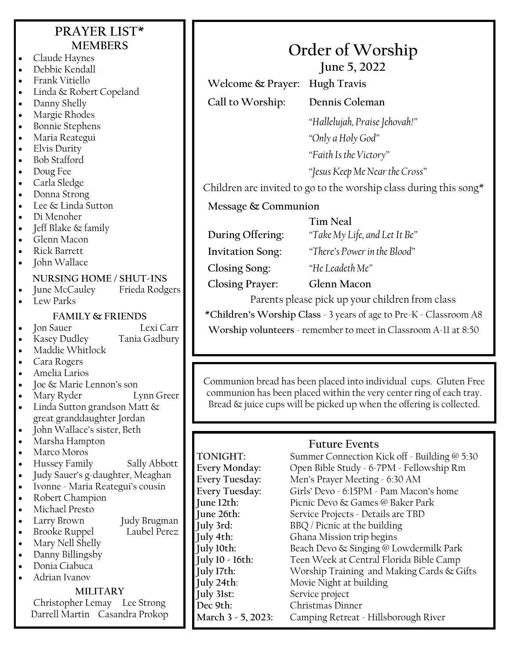#### **PRAYER LIST\* MEMBERS**

- Claude Haynes
- Debbie Kendall
- Frank Vitiello
- Linda & Robert Copeland
- Danny Shelly
- Margie Rhodes
- Bonnie Stephens
- Maria Reategui
- Elvis Durity
- Bob Stafford
- Doug Fee
- Carla Sledge
- Donna Strong
- Lee & Linda Sutton
- Di Menoher
- Jeff Blake & family
- Glenn Macon
- Rick Barrett
- John Wallace

## **NURSING HOME / SHUT-INS**

- June McCaulev
- Lew Parks

#### **FAMILY & FRIENDS**

• Jon Sauer Lexi Carr

- Kasey Dudley Tania Gadbury
- Maddie Whitlock
- Cara Rogers
- Amelia Larios
- Joe & Marie Lennon's son
- Mary Ryder Lynn Greer
- Linda Sutton grandson Matt & great granddaughter Jordan
- John Wallace's sister, Beth
- Marsha Hampton
- Marco Moros
- Hussey Family Sally Abbott
- Judy Sauer's g-daughter, Meaghan
- Ivonne Maria Reategui's cousin
- Robert Champion
- Michael Presto
- Larry Brown Judy Brugman
- **Brooke Ruppel**
- Mary Nell Shelly
- Danny Billingsby
- Donia Ciabuca
- Adrian Ivanov

#### **MILITARY**

Christopher Lemay Lee Strong Darrell Martin Casandra Prokop

# **Order of Worship**

**June 5, 2022**

**Welcome & Prayer: Hugh Travis**

**Call to Worship: Dennis Coleman**

*"Hallelujah, Praise Jehovah!" "Only a Holy God" "Faith Is the Victory"*

*"Jesus Keep Me Near the Cross"*

Children are invited to go to the worship class during this song\*

**Message & Communion** 

**Tim Neal**

**During Offering:** *"Take My Life, and Let It Be"*

**Invitation Song:** *"There's Power in the Blood"*

**Closing Song:** *"He Leadeth Me"*

**Closing Prayer: Glenn Macon**

Parents please pick up your children from class

**\*Children's Worship Class** - 3 years of age to Pre-K - Classroom A8 **Worship volunteers** - remember to meet in Classroom A-11 at 8:50

Communion bread has been placed into individual cups. Gluten Free communion has been placed within the very center ring of each tray. Bread  $\&$  juice cups will be picked up when the offering is collected.

#### **Future Events**

**July 31st:** Service project **Dec 9th:** Christmas Dinner

TONIGHT: Summer Connection Kick off - Building @ 5:30<br>Every Monday: Open Bible Study - 6-7PM - Fellowship Rm Open Bible Study - 6-7PM - Fellowship Rm **Every Tuesday:** Men's Prayer Meeting - 6:30 AM **Every Tuesday:** Girls' Devo - 6:15PM - Pam Macon's home **June 12th:** Picnic Devo & Games @ Baker Park<br>**June 26th:** Service Projects - Details are TBD Service Projects - Details are TBD **July 3rd:** BBQ / Picnic at the building **July 4th:** Ghana Mission trip begins **July 10th:** Beach Devo & Singing @ Lowdermilk Park **July 10 - 16th:** Teen Week at Central Florida Bible Camp **July 17th:** Worship Training and Making Cards & Gifts **July 24th**: Movie Night at building **March 3 - 5, 2023:** Camping Retreat - Hillsborough River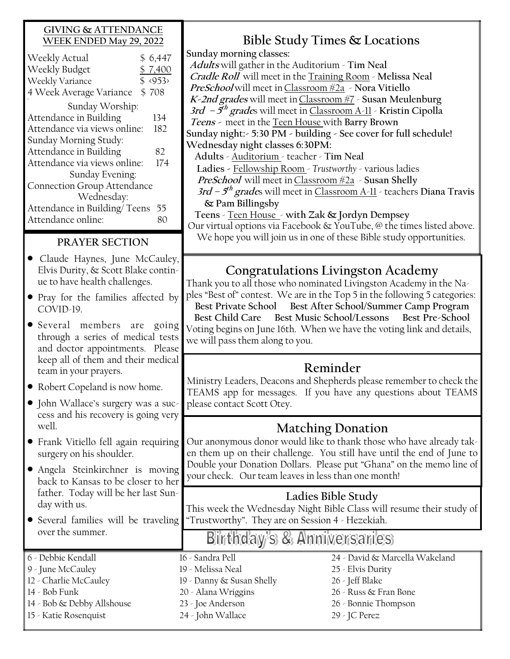#### **GIVING & ATTENDANCE WEEK ENDED May 29, 2022**

| \$6,447                     |  |  |
|-----------------------------|--|--|
| \$7,400                     |  |  |
| $$ \langle 953 \rangle$     |  |  |
| \$708                       |  |  |
|                             |  |  |
| 134                         |  |  |
| 182                         |  |  |
|                             |  |  |
| 82                          |  |  |
| 174                         |  |  |
| Sunday Evening:             |  |  |
| Connection Group Attendance |  |  |
|                             |  |  |
| 55                          |  |  |
|                             |  |  |
|                             |  |  |

#### **PRAYER SECTION**

- Claude Haynes, June McCauley, Elvis Durity, & Scott Blake continue to have health challenges.
- Pray for the families affected by COVID-19.
- Several members are going through a series of medical tests and doctor appointments. Please keep all of them and their medical team in your prayers.
- Robert Copeland is now home.
- John Wallace's surgery was a success and his recovery is going very well.
- Frank Vitiello fell again requiring surgery on his shoulder.
- Angela Steinkirchner is moving back to Kansas to be closer to her father. Today will be her last Sunday with us.
- Several families will be traveling over the summer.
- 6 Debbie Kendall
- 9 June McCauley 12 - Charlie McCauley
- 14 Bob Funk
- 
- 14 Bob & Debby Allshouse
- 15 Katie Rosenquist

## **Bible Study Times & Locations**

**Sunday morning classes: Adults** will gather in the Auditorium - **Tim Neal Cradle Roll** will meet in the Training Room - **Melissa Neal PreSchool** will meet inClassroom #2a - **Nora Vitiello K-2nd grades** will meet inClassroom #7 - **Susan Meulenburg 3rd – 5 th grade**s will meet in Classroom A-11 - **Kristin Cipolla Teens -** meet in the Teen House with **Barry Brown Sunday night:- 5:30 PM - building - See cover for full schedule! Wednesday night classes 6:30PM: Adults** - Auditorium - teacher - **Tim Neal Ladies -** Fellowship Room - *Trustworthy* - various ladies **PreSchool** will meet inClassroom #2a - **Susan Shelly 3rd – 5 th grade**s will meet in Classroom A-11 - teachers **Diana Travis & Pam Billingsby Teens** - Teen House - **with Zak & Jordyn Dempsey**

Our virtual options via Facebook & YouTube, @ the times listed above. We hope you will join us in one of these Bible study opportunities.

### **Congratulations Livingston Academy**

Thank you to all those who nominated Livingston Academy in the Naples "Best of" contest. We are in the Top 5 in the following 5 categories: **Best Private School Best After School/Summer Camp Program Best Child Care Best Music School/Lessons Best Pre-School** Voting begins on June 16th. When we have the voting link and details, we will pass them along to you.

## **Reminder**

Ministry Leaders, Deacons and Shepherds please remember to check the TEAMS app for messages. If you have any questions about TEAMS please contact Scott Otey.

### **Matching Donation**

Our anonymous donor would like to thank those who have already taken them up on their challenge. You still have until the end of June to Double your Donation Dollars. Please put "Ghana" on the memo line of your check. Our team leaves in less than one month!

### **Ladies Bible Study**

This week the Wednesday Night Bible Class will resume their study of "Trustworthy". They are on Session 4 - Hezekiah.

## Binthday's & Anniversanies

16 - Sandra Pell 19 - Melissa Neal

19 - Danny & Susan Shelly 20 - Alana Wriggins 23 - Joe Anderson 24 - John Wallace

24 - David & Marcella Wakeland 25 - Elvis Durity 26 - Jeff Blake 26 - Russ & Fran Bone 26 - Bonnie Thompson 29 - JC Perez